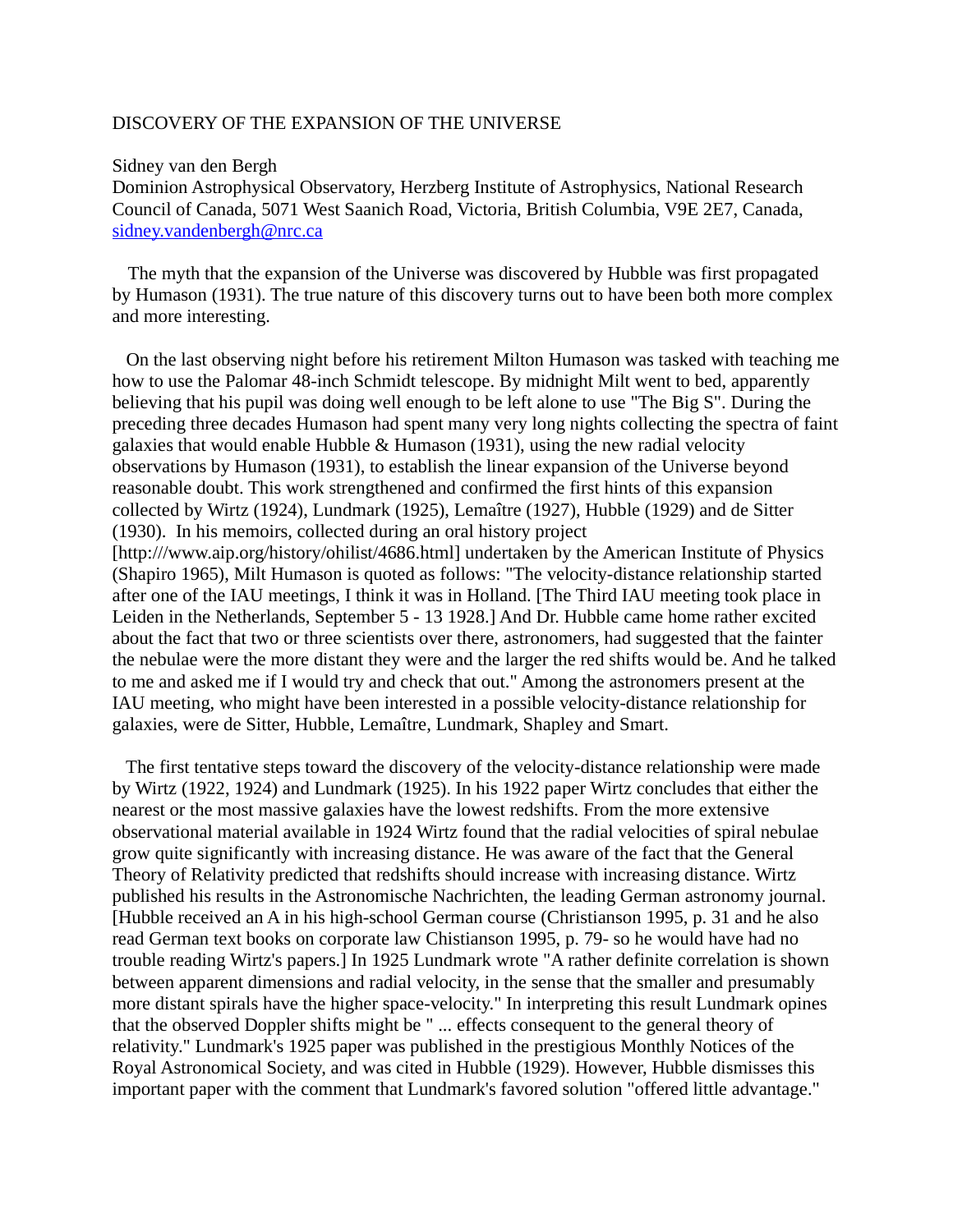## DISCOVERY OF THE EXPANSION OF THE UNIVERSE

## Sidney van den Bergh

Dominion Astrophysical Observatory, Herzberg Institute of Astrophysics, National Research Council of Canada, 5071 West Saanich Road, Victoria, British Columbia, V9E 2E7, Canada, [sidney.vandenbergh@nrc.ca](mailto:sidney.vandenbergh@nrc.ca)

 The myth that the expansion of the Universe was discovered by Hubble was first propagated by Humason (1931). The true nature of this discovery turns out to have been both more complex and more interesting.

 On the last observing night before his retirement Milton Humason was tasked with teaching me how to use the Palomar 48-inch Schmidt telescope. By midnight Milt went to bed, apparently believing that his pupil was doing well enough to be left alone to use "The Big S". During the preceding three decades Humason had spent many very long nights collecting the spectra of faint galaxies that would enable Hubble & Humason (1931), using the new radial velocity observations by Humason (1931), to establish the linear expansion of the Universe beyond reasonable doubt. This work strengthened and confirmed the first hints of this expansion collected by Wirtz (1924), Lundmark (1925), Lemaître (1927), Hubble (1929) and de Sitter (1930). In his memoirs, collected during an oral history project [http:///www.aip.org/history/ohilist/4686.html] undertaken by the American Institute of Physics (Shapiro 1965), Milt Humason is quoted as follows: "The velocity-distance relationship started after one of the IAU meetings, I think it was in Holland. [The Third IAU meeting took place in Leiden in the Netherlands, September 5 - 13 1928.] And Dr. Hubble came home rather excited about the fact that two or three scientists over there, astronomers, had suggested that the fainter the nebulae were the more distant they were and the larger the red shifts would be. And he talked to me and asked me if I would try and check that out." Among the astronomers present at the IAU meeting, who might have been interested in a possible velocity-distance relationship for galaxies, were de Sitter, Hubble, Lemaître, Lundmark, Shapley and Smart.

 The first tentative steps toward the discovery of the velocity-distance relationship were made by Wirtz (1922, 1924) and Lundmark (1925). In his 1922 paper Wirtz concludes that either the nearest or the most massive galaxies have the lowest redshifts. From the more extensive observational material available in 1924 Wirtz found that the radial velocities of spiral nebulae grow quite significantly with increasing distance. He was aware of the fact that the General Theory of Relativity predicted that redshifts should increase with increasing distance. Wirtz published his results in the Astronomische Nachrichten, the leading German astronomy journal. [Hubble received an A in his high-school German course (Christianson 1995, p. 31 and he also read German text books on corporate law Chistianson 1995, p. 79- so he would have had no trouble reading Wirtz's papers.] In 1925 Lundmark wrote "A rather definite correlation is shown between apparent dimensions and radial velocity, in the sense that the smaller and presumably more distant spirals have the higher space-velocity." In interpreting this result Lundmark opines that the observed Doppler shifts might be " ... effects consequent to the general theory of relativity." Lundmark's 1925 paper was published in the prestigious Monthly Notices of the Royal Astronomical Society, and was cited in Hubble (1929). However, Hubble dismisses this important paper with the comment that Lundmark's favored solution "offered little advantage."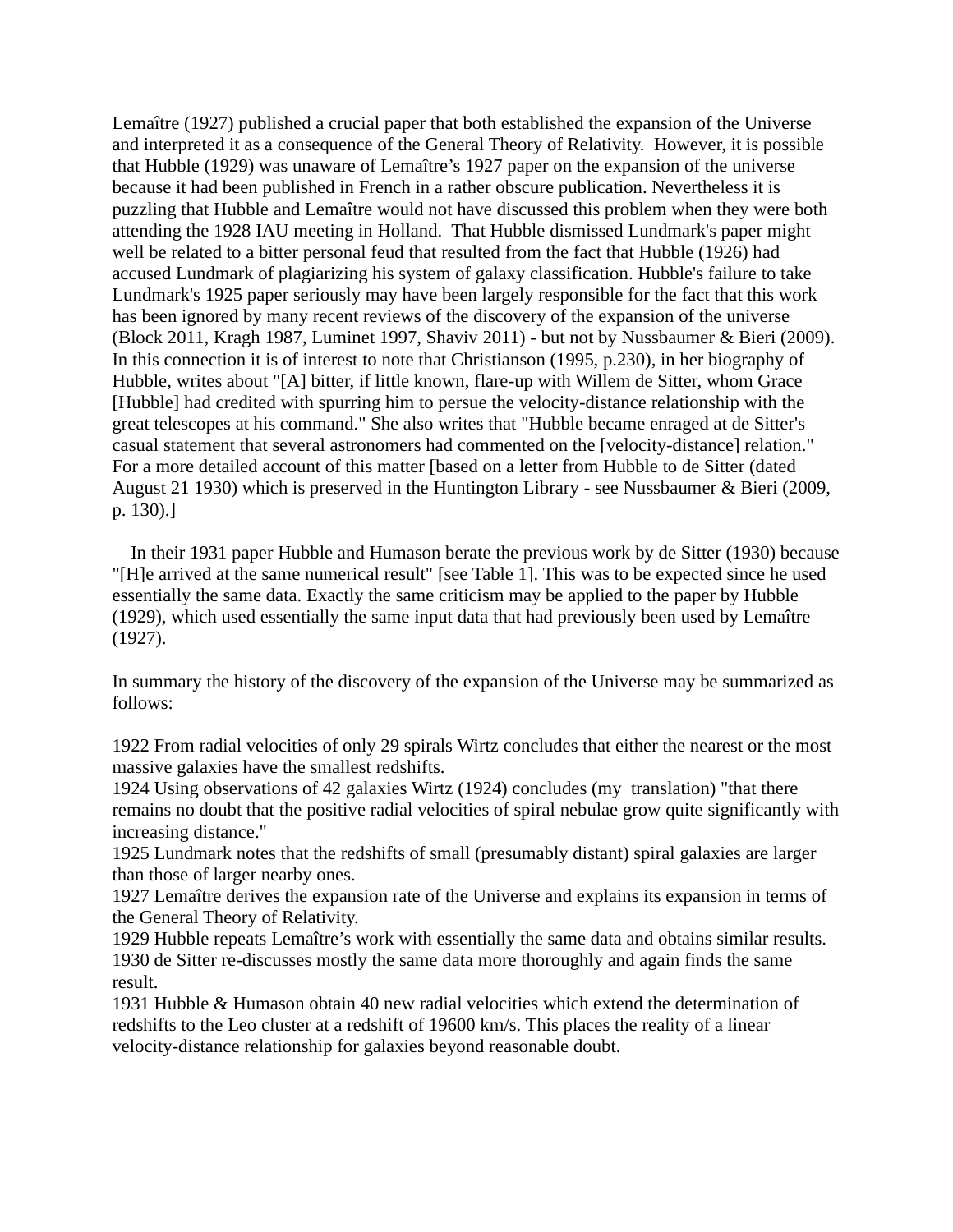Lemaître (1927) published a crucial paper that both established the expansion of the Universe and interpreted it as a consequence of the General Theory of Relativity. However, it is possible that Hubble (1929) was unaware of Lemaître's 1927 paper on the expansion of the universe because it had been published in French in a rather obscure publication. Nevertheless it is puzzling that Hubble and Lemaître would not have discussed this problem when they were both attending the 1928 IAU meeting in Holland. That Hubble dismissed Lundmark's paper might well be related to a bitter personal feud that resulted from the fact that Hubble (1926) had accused Lundmark of plagiarizing his system of galaxy classification. Hubble's failure to take Lundmark's 1925 paper seriously may have been largely responsible for the fact that this work has been ignored by many recent reviews of the discovery of the expansion of the universe (Block 2011, Kragh 1987, Luminet 1997, Shaviv 2011) - but not by Nussbaumer & Bieri (2009). In this connection it is of interest to note that Christianson (1995, p.230), in her biography of Hubble, writes about "[A] bitter, if little known, flare-up with Willem de Sitter, whom Grace [Hubble] had credited with spurring him to persue the velocity-distance relationship with the great telescopes at his command." She also writes that "Hubble became enraged at de Sitter's casual statement that several astronomers had commented on the [velocity-distance] relation." For a more detailed account of this matter [based on a letter from Hubble to de Sitter (dated August 21 1930) which is preserved in the Huntington Library - see Nussbaumer & Bieri (2009, p. 130).]

 In their 1931 paper Hubble and Humason berate the previous work by de Sitter (1930) because "[H]e arrived at the same numerical result" [see Table 1]. This was to be expected since he used essentially the same data. Exactly the same criticism may be applied to the paper by Hubble (1929), which used essentially the same input data that had previously been used by Lemaître (1927).

In summary the history of the discovery of the expansion of the Universe may be summarized as follows:

1922 From radial velocities of only 29 spirals Wirtz concludes that either the nearest or the most massive galaxies have the smallest redshifts.

1924 Using observations of 42 galaxies Wirtz (1924) concludes (my translation) "that there remains no doubt that the positive radial velocities of spiral nebulae grow quite significantly with increasing distance."

1925 Lundmark notes that the redshifts of small (presumably distant) spiral galaxies are larger than those of larger nearby ones.

1927 Lemaître derives the expansion rate of the Universe and explains its expansion in terms of the General Theory of Relativity.

1929 Hubble repeats Lemaître's work with essentially the same data and obtains similar results. 1930 de Sitter re-discusses mostly the same data more thoroughly and again finds the same result.

1931 Hubble & Humason obtain 40 new radial velocities which extend the determination of redshifts to the Leo cluster at a redshift of 19600 km/s. This places the reality of a linear velocity-distance relationship for galaxies beyond reasonable doubt.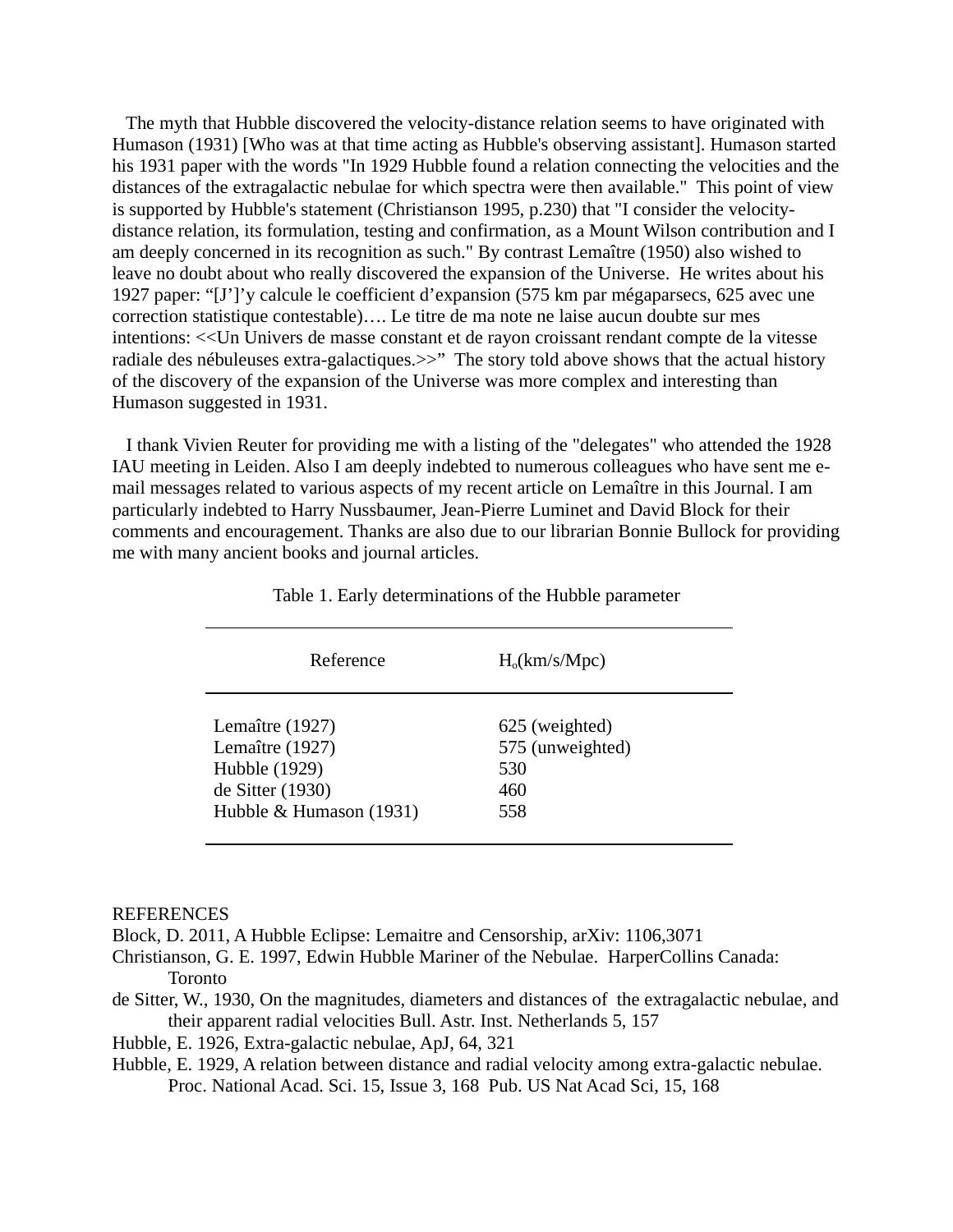The myth that Hubble discovered the velocity-distance relation seems to have originated with Humason (1931) [Who was at that time acting as Hubble's observing assistant]. Humason started his 1931 paper with the words "In 1929 Hubble found a relation connecting the velocities and the distances of the extragalactic nebulae for which spectra were then available." This point of view is supported by Hubble's statement (Christianson 1995, p.230) that "I consider the velocitydistance relation, its formulation, testing and confirmation, as a Mount Wilson contribution and I am deeply concerned in its recognition as such." By contrast Lemaître (1950) also wished to leave no doubt about who really discovered the expansion of the Universe. He writes about his 1927 paper: "[J']'y calcule le coefficient d'expansion (575 km par mégaparsecs, 625 avec une correction statistique contestable)…. Le titre de ma note ne laise aucun doubte sur mes intentions: <<Un Univers de masse constant et de rayon croissant rendant compte de la vitesse radiale des nébuleuses extra-galactiques. >>" The story told above shows that the actual history of the discovery of the expansion of the Universe was more complex and interesting than Humason suggested in 1931.

 I thank Vivien Reuter for providing me with a listing of the "delegates" who attended the 1928 IAU meeting in Leiden. Also I am deeply indebted to numerous colleagues who have sent me email messages related to various aspects of my recent article on Lemaître in this Journal. I am particularly indebted to Harry Nussbaumer, Jean-Pierre Luminet and David Block for their comments and encouragement. Thanks are also due to our librarian Bonnie Bullock for providing me with many ancient books and journal articles.

| Reference               | $H_0(km/s/Mpc)$  |
|-------------------------|------------------|
| Lemaître (1927)         | 625 (weighted)   |
| Lemaître (1927)         | 575 (unweighted) |
| Hubble (1929)           | 530              |
| de Sitter (1930)        | 460              |
| Hubble & Humason (1931) | 558              |

Table 1. Early determinations of the Hubble parameter

## REFERENCES

Block, D. 2011, A Hubble Eclipse: Lemaitre and Censorship, arXiv: 1106,3071

Christianson, G. E. 1997, Edwin Hubble Mariner of the Nebulae. HarperCollins Canada: Toronto

de Sitter, W., 1930, On the magnitudes, diameters and distances of the extragalactic nebulae, and their apparent radial velocities Bull. Astr. Inst. Netherlands 5, 157

Hubble, E. 1926, Extra-galactic nebulae, ApJ, 64, 321

Hubble, E. 1929, A relation between distance and radial velocity among extra-galactic nebulae. Proc. National Acad. Sci. 15, Issue 3, 168 Pub. US Nat Acad Sci, 15, 168